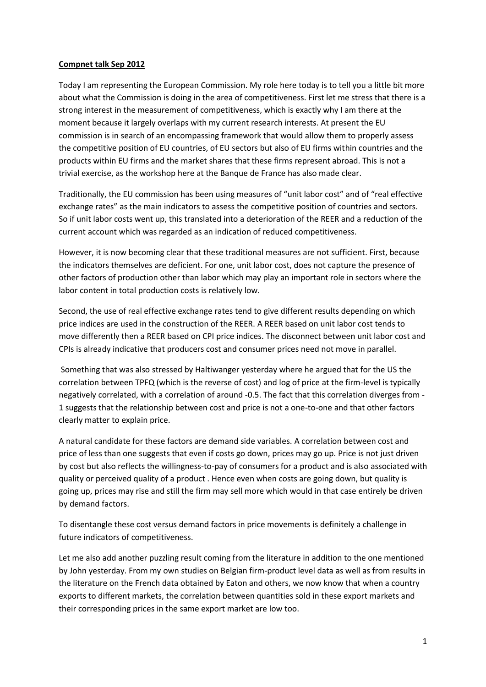## **Compnet talk Sep 2012**

Today I am representing the European Commission. My role here today is to tell you a little bit more about what the Commission is doing in the area of competitiveness. First let me stress that there is a strong interest in the measurement of competitiveness, which is exactly why I am there at the moment because it largely overlaps with my current research interests. At present the EU commission is in search of an encompassing framework that would allow them to properly assess the competitive position of EU countries, of EU sectors but also of EU firms within countries and the products within EU firms and the market shares that these firms represent abroad. This is not a trivial exercise, as the workshop here at the Banque de France has also made clear.

Traditionally, the EU commission has been using measures of "unit labor cost" and of "real effective exchange rates" as the main indicators to assess the competitive position of countries and sectors. So if unit labor costs went up, this translated into a deterioration of the REER and a reduction of the current account which was regarded as an indication of reduced competitiveness.

However, it is now becoming clear that these traditional measures are not sufficient. First, because the indicators themselves are deficient. For one, unit labor cost, does not capture the presence of other factors of production other than labor which may play an important role in sectors where the labor content in total production costs is relatively low.

Second, the use of real effective exchange rates tend to give different results depending on which price indices are used in the construction of the REER. A REER based on unit labor cost tends to move differently then a REER based on CPI price indices. The disconnect between unit labor cost and CPIs is already indicative that producers cost and consumer prices need not move in parallel.

Something that was also stressed by Haltiwanger yesterday where he argued that for the US the correlation between TPFQ (which is the reverse of cost) and log of price at the firm-level is typically negatively correlated, with a correlation of around -0.5. The fact that this correlation diverges from - 1 suggests that the relationship between cost and price is not a one-to-one and that other factors clearly matter to explain price.

A natural candidate for these factors are demand side variables. A correlation between cost and price of less than one suggests that even if costs go down, prices may go up. Price is not just driven by cost but also reflects the willingness-to-pay of consumers for a product and is also associated with quality or perceived quality of a product . Hence even when costs are going down, but quality is going up, prices may rise and still the firm may sell more which would in that case entirely be driven by demand factors.

To disentangle these cost versus demand factors in price movements is definitely a challenge in future indicators of competitiveness.

Let me also add another puzzling result coming from the literature in addition to the one mentioned by John yesterday. From my own studies on Belgian firm-product level data as well as from results in the literature on the French data obtained by Eaton and others, we now know that when a country exports to different markets, the correlation between quantities sold in these export markets and their corresponding prices in the same export market are low too.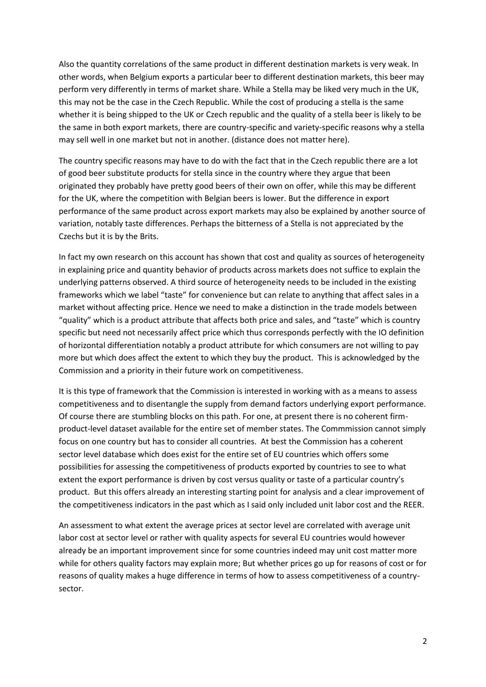Also the quantity correlations of the same product in different destination markets is very weak. In other words, when Belgium exports a particular beer to different destination markets, this beer may perform very differently in terms of market share. While a Stella may be liked very much in the UK, this may not be the case in the Czech Republic. While the cost of producing a stella is the same whether it is being shipped to the UK or Czech republic and the quality of a stella beer is likely to be the same in both export markets, there are country-specific and variety-specific reasons why a stella may sell well in one market but not in another. (distance does not matter here).

The country specific reasons may have to do with the fact that in the Czech republic there are a lot of good beer substitute products for stella since in the country where they argue that been originated they probably have pretty good beers of their own on offer, while this may be different for the UK, where the competition with Belgian beers is lower. But the difference in export performance of the same product across export markets may also be explained by another source of variation, notably taste differences. Perhaps the bitterness of a Stella is not appreciated by the Czechs but it is by the Brits.

In fact my own research on this account has shown that cost and quality as sources of heterogeneity in explaining price and quantity behavior of products across markets does not suffice to explain the underlying patterns observed. A third source of heterogeneity needs to be included in the existing frameworks which we label "taste" for convenience but can relate to anything that affect sales in a market without affecting price. Hence we need to make a distinction in the trade models between "quality" which is a product attribute that affects both price and sales, and "taste" which is country specific but need not necessarily affect price which thus corresponds perfectly with the IO definition of horizontal differentiation notably a product attribute for which consumers are not willing to pay more but which does affect the extent to which they buy the product. This is acknowledged by the Commission and a priority in their future work on competitiveness.

It is this type of framework that the Commission is interested in working with as a means to assess competitiveness and to disentangle the supply from demand factors underlying export performance. Of course there are stumbling blocks on this path. For one, at present there is no coherent firmproduct-level dataset available for the entire set of member states. The Commmission cannot simply focus on one country but has to consider all countries. At best the Commission has a coherent sector level database which does exist for the entire set of EU countries which offers some possibilities for assessing the competitiveness of products exported by countries to see to what extent the export performance is driven by cost versus quality or taste of a particular country's product. But this offers already an interesting starting point for analysis and a clear improvement of the competitiveness indicators in the past which as I said only included unit labor cost and the REER.

An assessment to what extent the average prices at sector level are correlated with average unit labor cost at sector level or rather with quality aspects for several EU countries would however already be an important improvement since for some countries indeed may unit cost matter more while for others quality factors may explain more; But whether prices go up for reasons of cost or for reasons of quality makes a huge difference in terms of how to assess competitiveness of a countrysector.